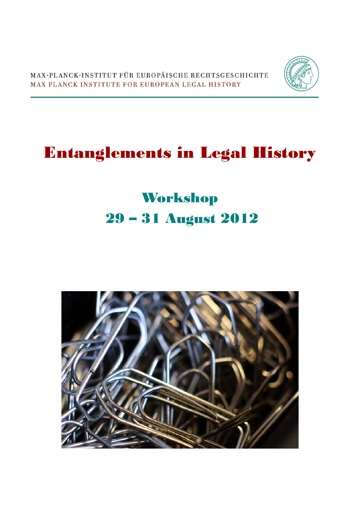MAX-PLANCK-INSTITUT FÜR EUROPÄISCHE RECHTSGESCHICHTE MAX PLANCK INSTITUTE FOR EUROPEAN LEGAL HISTORY



# Entanglements in Legal History

# Workshop 29 – 31 August 2012

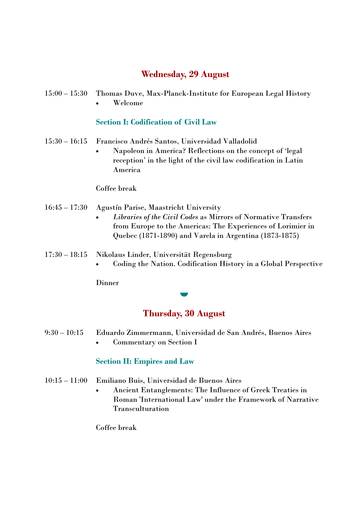## **Wednesday, 29 August**

15:00 – 15:30 Thomas Duve, Max-Planck-Institute for European Legal History Welcome

### **Section I: Codification of Civil Law**

- 15:30 16:15 Francisco Andrés Santos, Universidad Valladolid
	- Napoleon in America? Reflections on the concept of 'legal reception' in the light of the civil law codification in Latin America

#### Coffee break

#### 16:45 – 17:30 Agustín Parise, Maastricht University

- *Libraries of the Civil Codes* as Mirrors of Normative Transfers from Europe to the Americas: The Experiences of Lorimier in Quebec (1871-1890) and Varela in Argentina (1873-1875)
- 17:30 18:15 Nikolaus Linder, Universität Regensburg
	- Coding the Nation. Codification History in a Global Perspective

**Dinner** 

# **Thursday, 30 August**

- 9:30 10:15 Eduardo Zimmermann, Universidad de San Andrés, Buenos Aires
	- Commentary on Section I

### **Section II: Empires and Law**

- 10:15 11:00 Emiliano Buis, Universidad de Buenos Aires
	- Ancient Entanglements: The Influence of Greek Treaties in Roman 'International Law' under the Framework of Narrative Transculturation

Coffee break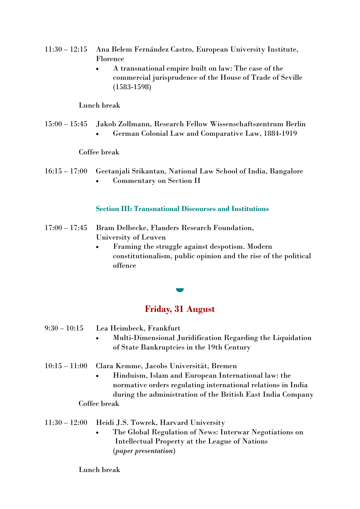- 11:30 12:15 Ana Belem Fernández Castro, European University Institute, Florence
	- A transnational empire built on law: The case of the commercial jurisprudence of the House of Trade of Seville (1583-1598)

#### Lunch break

15:00 – 15:45 Jakob Zollmann, Research Fellow Wissenschaftszentrum Berlin German Colonial Law and Comparative Law, 1884-1919

#### Coffee break

16:15 – 17:00 Geetanjali Srikantan, National Law School of India, Bangalore Commentary on Section II

#### **Section III: Transnational Discourses and Institutions**

- 17:00 17:45 Bram Delbecke, Flanders Research Foundation, University of Leuven
	- Framing the struggle against despotism. Modern constitutionalism, public opinion and the rise of the political offence

## **Friday, 31 August**

 $\blacksquare$ 

- 9:30 10:15 Lea Heimbeck, Frankfurt
	- Multi-Dimensional Juridification Regarding the Liquidation of State Bankruptcies in the 19th Century
- 10:15 11:00 Clara Kemme, Jacobs Universität, Bremen
	- Hinduism, Islam and European International law: the normative orders regulating international relations in India during the administration of the British East India Company Coffee break

#### 11:30 – 12:00 Heidi J.S. Towrek, Harvard University

 The Global Regulation of News: Interwar Negotiations on Intellectual Property at the League of Nations (*paper presentation*)

#### Lunch break